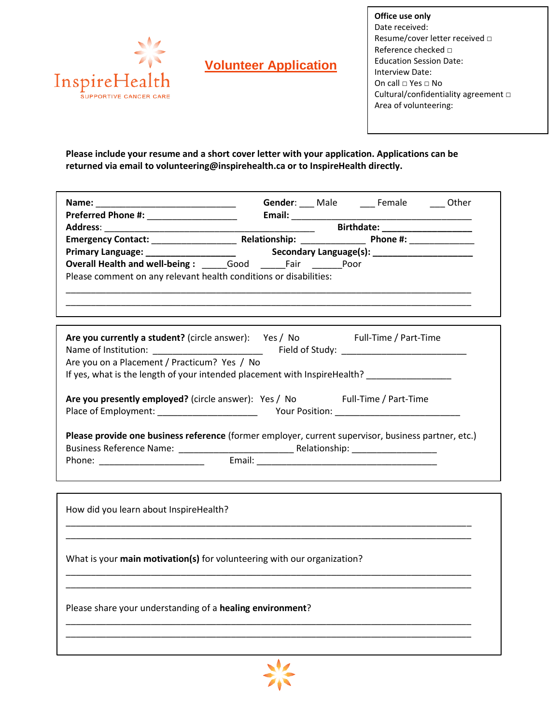

# **Volunteer Application**

**Office use only** Date received: Resume/cover letter received □ Reference checked □ Education Session Date: Interview Date: On call □ Yes □ No Cultural/confidentiality agreement □ Area of volunteering:

**Please include your resume and a short cover letter with your application. Applications can be returned via email to volunteering@inspirehealth.ca or to InspireHealth directly.**

| Are you currently a student? (circle answer): Yes / No Full-Time / Part-Time<br>Are you on a Placement / Practicum? Yes / No<br>If yes, what is the length of your intended placement with InspireHealth? __________________<br>Are you presently employed? (circle answer): Yes / No Full-Time / Part-Time<br>Please provide one business reference (former employer, current supervisor, business partner, etc.)<br>How did you learn about InspireHealth? |
|--------------------------------------------------------------------------------------------------------------------------------------------------------------------------------------------------------------------------------------------------------------------------------------------------------------------------------------------------------------------------------------------------------------------------------------------------------------|
|                                                                                                                                                                                                                                                                                                                                                                                                                                                              |
|                                                                                                                                                                                                                                                                                                                                                                                                                                                              |
|                                                                                                                                                                                                                                                                                                                                                                                                                                                              |
| What is your main motivation(s) for volunteering with our organization?                                                                                                                                                                                                                                                                                                                                                                                      |
| Please share your understanding of a healing environment?                                                                                                                                                                                                                                                                                                                                                                                                    |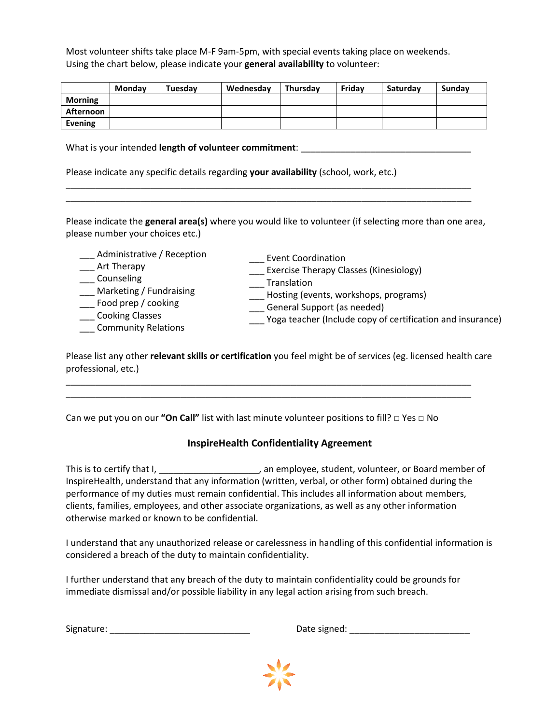Most volunteer shifts take place M-F 9am-5pm, with special events taking place on weekends. Using the chart below, please indicate your **general availability** to volunteer:

|                | <b>Monday</b> | Tuesdav | Wednesday | Thursdav | Fridav | Saturdav | Sundav |
|----------------|---------------|---------|-----------|----------|--------|----------|--------|
| <b>Morning</b> |               |         |           |          |        |          |        |
| Afternoon      |               |         |           |          |        |          |        |
| Evening        |               |         |           |          |        |          |        |

What is your intended **length of volunteer commitment**: \_\_\_\_\_\_\_\_\_\_\_\_\_\_\_\_\_\_\_\_\_\_\_\_\_

Please indicate any specific details regarding **your availability** (school, work, etc.)

Please indicate the **general area(s)** where you would like to volunteer (if selecting more than one area, please number your choices etc.)

\_\_\_\_\_\_\_\_\_\_\_\_\_\_\_\_\_\_\_\_\_\_\_\_\_\_\_\_\_\_\_\_\_\_\_\_\_\_\_\_\_\_\_\_\_\_\_\_\_\_\_\_\_\_\_\_\_\_\_\_\_\_\_\_\_\_\_\_\_\_\_\_\_\_\_\_\_\_\_\_\_ \_\_\_\_\_\_\_\_\_\_\_\_\_\_\_\_\_\_\_\_\_\_\_\_\_\_\_\_\_\_\_\_\_\_\_\_\_\_\_\_\_\_\_\_\_\_\_\_\_\_\_\_\_\_\_\_\_\_\_\_\_\_\_\_\_\_\_\_\_\_\_\_\_\_\_\_\_\_\_\_\_

| Event Coordination<br>Exercise Therapy Classes (Kinesiology)<br>Translation<br>Hosting (events, workshops, programs)<br>General Support (as needed)<br>Yoga teacher (Include copy of certification and insurance) |
|-------------------------------------------------------------------------------------------------------------------------------------------------------------------------------------------------------------------|
|                                                                                                                                                                                                                   |

Please list any other **relevant skills or certification** you feel might be of services (eg. licensed health care professional, etc.)

\_\_\_\_\_\_\_\_\_\_\_\_\_\_\_\_\_\_\_\_\_\_\_\_\_\_\_\_\_\_\_\_\_\_\_\_\_\_\_\_\_\_\_\_\_\_\_\_\_\_\_\_\_\_\_\_\_\_\_\_\_\_\_\_\_\_\_\_\_\_\_\_\_\_\_\_\_\_\_\_\_ \_\_\_\_\_\_\_\_\_\_\_\_\_\_\_\_\_\_\_\_\_\_\_\_\_\_\_\_\_\_\_\_\_\_\_\_\_\_\_\_\_\_\_\_\_\_\_\_\_\_\_\_\_\_\_\_\_\_\_\_\_\_\_\_\_\_\_\_\_\_\_\_\_\_\_\_\_\_\_\_\_

Can we put you on our **"On Call"** list with last minute volunteer positions to fill? □ Yes □ No

## **InspireHealth Confidentiality Agreement**

This is to certify that I, \_\_\_\_\_\_\_\_\_\_\_\_\_\_\_\_\_\_\_\_\_, an employee, student, volunteer, or Board member of InspireHealth, understand that any information (written, verbal, or other form) obtained during the performance of my duties must remain confidential. This includes all information about members, clients, families, employees, and other associate organizations, as well as any other information otherwise marked or known to be confidential.

I understand that any unauthorized release or carelessness in handling of this confidential information is considered a breach of the duty to maintain confidentiality.

I further understand that any breach of the duty to maintain confidentiality could be grounds for immediate dismissal and/or possible liability in any legal action arising from such breach.

| Signature: |  |  |  |
|------------|--|--|--|
|            |  |  |  |

Signature: \_\_\_\_\_\_\_\_\_\_\_\_\_\_\_\_\_\_\_\_\_\_\_\_\_\_\_\_ Date signed: \_\_\_\_\_\_\_\_\_\_\_\_\_\_\_\_\_\_\_\_\_\_\_\_